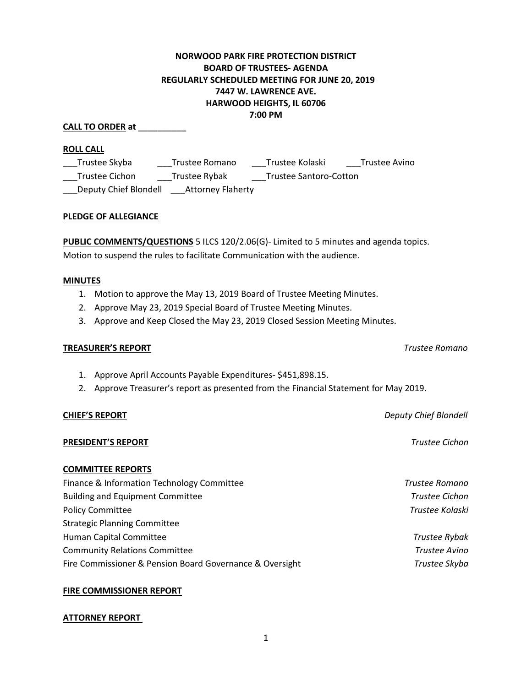# 1

#### **NORWOOD PARK FIRE PROTECTION DISTRICT BOARD OF TRUSTEES- AGENDA REGULARLY SCHEDULED MEETING FOR JUNE 20, 2019 7447 W. LAWRENCE AVE. HARWOOD HEIGHTS, IL 60706 7:00 PM**

#### **CALL TO ORDER at** \_\_\_\_\_\_\_\_\_\_

# **ROLL CALL**

\_\_\_Trustee Skyba \_\_\_\_\_\_Trustee Romano \_\_\_\_\_Trustee Kolaski \_\_\_\_\_Trustee Avino \_\_\_Trustee Cichon \_\_\_Trustee Rybak \_\_\_Trustee Santoro-Cotton \_\_\_Deputy Chief Blondell \_\_\_Attorney Flaherty

# **PLEDGE OF ALLEGIANCE**

**PUBLIC COMMENTS/QUESTIONS** 5 ILCS 120/2.06(G)- Limited to 5 minutes and agenda topics. Motion to suspend the rules to facilitate Communication with the audience.

# **MINUTES**

- 1. Motion to approve the May 13, 2019 Board of Trustee Meeting Minutes.
- 2. Approve May 23, 2019 Special Board of Trustee Meeting Minutes.
- 3. Approve and Keep Closed the May 23, 2019 Closed Session Meeting Minutes.

# **TREASURER'S REPORT** *Trustee Romano*

- 1. Approve April Accounts Payable Expenditures- \$451,898.15.
- 2. Approve Treasurer's report as presented from the Financial Statement for May 2019.

# **PRESIDENT'S REPORT** *Trustee Cichon*

# **COMMITTEE REPORTS**

| Finance & Information Technology Committee               | Trustee Romano        |
|----------------------------------------------------------|-----------------------|
| <b>Building and Equipment Committee</b>                  | <b>Trustee Cichon</b> |
| <b>Policy Committee</b>                                  | Trustee Kolaski       |
| <b>Strategic Planning Committee</b>                      |                       |
| Human Capital Committee                                  | <b>Trustee Rybak</b>  |
| <b>Community Relations Committee</b>                     | Trustee Avino         |
| Fire Commissioner & Pension Board Governance & Oversight | Trustee Skyba         |

# **FIRE COMMISSIONER REPORT**

# **ATTORNEY REPORT**

**CHIEF'S REPORT** *Deputy Chief Blondell*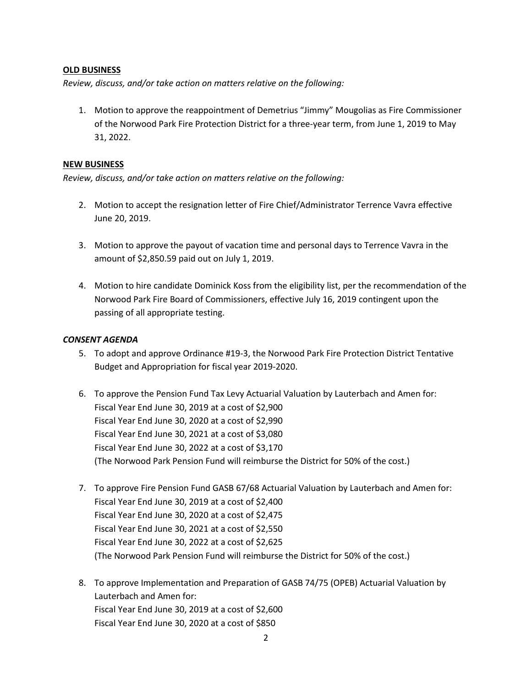#### **OLD BUSINESS**

*Review, discuss, and/or take action on matters relative on the following:*

1. Motion to approve the reappointment of Demetrius "Jimmy" Mougolias as Fire Commissioner of the Norwood Park Fire Protection District for a three-year term, from June 1, 2019 to May 31, 2022.

#### **NEW BUSINESS**

*Review, discuss, and/or take action on matters relative on the following:*

- 2. Motion to accept the resignation letter of Fire Chief/Administrator Terrence Vavra effective June 20, 2019.
- 3. Motion to approve the payout of vacation time and personal days to Terrence Vavra in the amount of \$2,850.59 paid out on July 1, 2019.
- 4. Motion to hire candidate Dominick Koss from the eligibility list, per the recommendation of the Norwood Park Fire Board of Commissioners, effective July 16, 2019 contingent upon the passing of all appropriate testing.

#### *CONSENT AGENDA*

- 5. To adopt and approve Ordinance #19-3, the Norwood Park Fire Protection District Tentative Budget and Appropriation for fiscal year 2019-2020.
- 6. To approve the Pension Fund Tax Levy Actuarial Valuation by Lauterbach and Amen for: Fiscal Year End June 30, 2019 at a cost of \$2,900 Fiscal Year End June 30, 2020 at a cost of \$2,990 Fiscal Year End June 30, 2021 at a cost of \$3,080 Fiscal Year End June 30, 2022 at a cost of \$3,170 (The Norwood Park Pension Fund will reimburse the District for 50% of the cost.)
- 7. To approve Fire Pension Fund GASB 67/68 Actuarial Valuation by Lauterbach and Amen for: Fiscal Year End June 30, 2019 at a cost of \$2,400 Fiscal Year End June 30, 2020 at a cost of \$2,475 Fiscal Year End June 30, 2021 at a cost of \$2,550 Fiscal Year End June 30, 2022 at a cost of \$2,625 (The Norwood Park Pension Fund will reimburse the District for 50% of the cost.)
- 8. To approve Implementation and Preparation of GASB 74/75 (OPEB) Actuarial Valuation by Lauterbach and Amen for: Fiscal Year End June 30, 2019 at a cost of \$2,600 Fiscal Year End June 30, 2020 at a cost of \$850